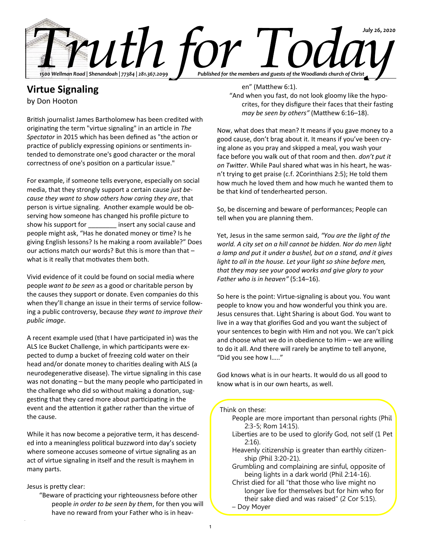

# **Virtue Signaling**

by Don Hooton

British journalist James Bartholomew has been credited with originating the term "virtue signaling" in an article in *The Spectator* in 2015 which has been defined as "the action or practice of publicly expressing opinions or sentiments intended to demonstrate one's good character or the moral correctness of one's position on a particular issue."

For example, if someone tells everyone, especially on social media, that they strongly support a certain cause *just because they want to show others how caring they are*, that person is virtue signaling. Another example would be observing how someone has changed his profile picture to show his support for **the sign of the social cause and** people might ask, "Has he donated money or time? Is he giving English lessons? Is he making a room available?" Does our actions match our words? But this is more than that – what is it really that motivates them both.

Vivid evidence of it could be found on social media where people *want to be seen* as a good or charitable person by the causes they support or donate. Even companies do this when they'll change an issue in their terms of service following a public controversy, because *they want to improve their public image*.

A recent example used (that I have participated in) was the ALS Ice Bucket Challenge, in which participants were expected to dump a bucket of freezing cold water on their head and/or donate money to charities dealing with ALS (a neurodegenerative disease). The virtue signaling in this case was not donating – but the many people who participated in the challenge who did so without making a donation, suggesting that they cared more about participating in the event and the attention it gather rather than the virtue of the cause.

While it has now become a pejorative term, it has descended into a meaningless political buzzword into day's society where someone accuses someone of virtue signaling as an act of virtue signaling in itself and the result is mayhem in many parts.

# Jesus is pretty clear:

"Beware of practicing your righteousness before other people *in order to be seen by them*, for then you will have no reward from your Father who is in heav-

## en" (Matthew 6:1).

"And when you fast, do not look gloomy like the hypocrites, for they disfigure their faces that their fasting *may be seen by others"* (Matthew 6:16–18).

Now, what does that mean? It means if you gave money to a good cause, don't brag about it. It means if you've been crying alone as you pray and skipped a meal, you wash your face before you walk out of that room and then. *don't put it on Twitter*. While Paul shared what was in his heart, he wasn't trying to get praise (c.f. 2Corinthians 2:5); He told them how much he loved them and how much he wanted them to be that kind of tenderhearted person.

So, be discerning and beware of performances; People can tell when you are planning them.

Yet, Jesus in the same sermon said, *"You are the light of the world. A city set on a hill cannot be hidden. Nor do men light a lamp and put it under a bushel, but on a stand, and it gives light to all in the house. Let your light so shine before men, that they may see your good works and give glory to your Father who is in heaven"* (5:14–16).

So here is the point: Virtue-signaling is about you. You want people to know you and how wonderful you think you are. Jesus censures that. Light Sharing is about God. You want to live in a way that glorifies God and you want the subject of your sentences to begin with Him and not you. We can't pick and choose what we do in obedience to Him – we are willing to do it all. And there will rarely be anytime to tell anyone, "Did you see how I….."

God knows what is in our hearts. It would do us all good to know what is in our own hearts, as well.

## Think on these:

- People are more important than personal rights (Phil 2:3-5; Rom 14:15).
- Liberties are to be used to glorify God, not self (1 Pet 2:16).
- Heavenly citizenship is greater than earthly citizenship (Phil 3:20-21).
- Grumbling and complaining are sinful, opposite of being lights in a dark world (Phil 2:14-16).

Christ died for all "that those who live might no longer live for themselves but for him who for their sake died and was raised" (2 Cor 5:15).

– Doy Moyer